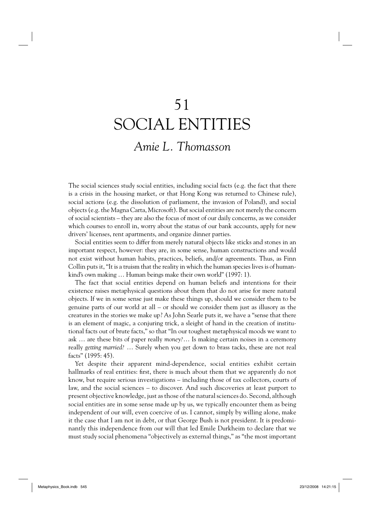# 51 SOCIAL ENTITIES *Amie L. Thomasson*

The social sciences study social entities, including social facts (e.g. the fact that there is a crisis in the housing market, or that Hong Kong was returned to Chinese rule), social actions (e.g. the dissolution of parliament, the invasion of Poland), and social objects (e.g. the Magna Carta, Microsoft). But social entities are not merely the concern of social scientists – they are also the focus of most of our daily concerns, as we consider which courses to enroll in, worry about the status of our bank accounts, apply for new drivers' licenses, rent apartments, and organize dinner parties.

Social entities seem to differ from merely natural objects like sticks and stones in an important respect, however: they are, in some sense, human constructions and would not exist without human habits, practices, beliefs, and/or agreements. Thus, as Finn Collin puts it, "It is a truism that the reality in which the human species lives is of humankind's own making … Human beings make their own world" (1997: 1).

The fact that social entities depend on human beliefs and intentions for their existence raises metaphysical questions about them that do not arise for mere natural objects. If we in some sense just make these things up, should we consider them to be genuine parts of our world at all – or should we consider them just as illusory as the creatures in the stories we make up? As John Searle puts it, we have a "sense that there is an element of magic, a conjuring trick, a sleight of hand in the creation of institutional facts out of brute facts," so that "In our toughest metaphysical moods we want to ask … are these bits of paper really *money?*… Is making certain noises in a ceremony really *getting married?* … Surely when you get down to brass tacks, these are not real facts" (1995: 45).

Yet despite their apparent mind-dependence, social entities exhibit certain hallmarks of real entities: first, there is much about them that we apparently do not know, but require serious investigations – including those of tax collectors, courts of law, and the social sciences – to discover. And such discoveries at least purport to present objective knowledge, just as those of the natural sciences do. Second, although social entities are in some sense made up by us, we typically encounter them as being independent of our will, even coercive of us. I cannot, simply by willing alone, make it the case that I am not in debt, or that George Bush is not president. It is predominantly this independence from our will that led Emile Durkheim to declare that we must study social phenomena "objectively as external things," as "the most important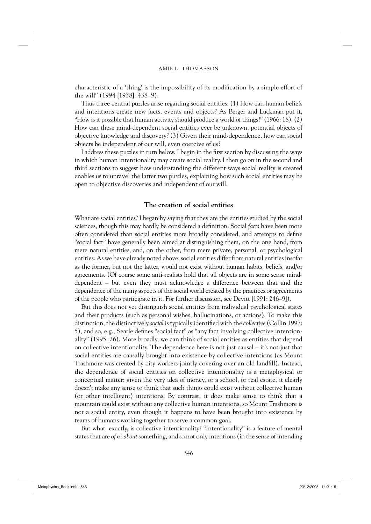characteristic of a 'thing' is the impossibility of its modification by a simple effort of the will" (1994 [1938]: 438–9).

Thus three central puzzles arise regarding social entities: (1) How can human beliefs and intentions create new facts, events and objects? As Berger and Luckman put it, "How is it possible that human activity should produce a world of things?" (1966: 18). (2) How can these mind-dependent social entities ever be unknown, potential objects of objective knowledge and discovery? (3) Given their mind-dependence, how can social objects be independent of our will, even coercive of us?

I address these puzzles in turn below. I begin in the first section by discussing the ways in which human intentionality may create social reality. I then go on in the second and third sections to suggest how understanding the different ways social reality is created enables us to unravel the latter two puzzles, explaining how such social entities may be open to objective discoveries and independent of our will.

# **The creation of social entities**

What are social entities? I began by saying that they are the entities studied by the social sciences, though this may hardly be considered a definition. Social *facts* have been more often considered than social entities more broadly considered, and attempts to define "social fact" have generally been aimed at distinguishing them, on the one hand, from mere natural entities, and, on the other, from mere private, personal, or psychological entities. As we have already noted above, social entities differ from natural entities insofar as the former, but not the latter, would not exist without human habits, beliefs, and/or agreements. (Of course some anti-realists hold that all objects are in some sense minddependent – but even they must acknowledge a difference between that and the dependence of the many aspects of the social world created by the practices or agreements of the people who participate in it. For further discussion, see Devitt [1991: 246–9]).

But this does not yet distinguish social entities from individual psychological states and their products (such as personal wishes, hallucinations, or actions). To make this distinction, the distinctively *social* is typically identified with the *collective* (Collin 1997: 5), and so, e.g., Searle defines "social fact" as "any fact involving collective intentionality" (1995: 26). More broadly, we can think of social entities as entities that depend on collective intentionality. The dependence here is not just causal – it's not just that social entities are causally brought into existence by collective intentions (as Mount Trashmore was created by city workers jointly covering over an old landfill). Instead, the dependence of social entities on collective intentionality is a metaphysical or conceptual matter: given the very idea of money, or a school, or real estate, it clearly doesn't make any sense to think that such things could exist without collective human (or other intelligent) intentions. By contrast, it does make sense to think that a mountain could exist without any collective human intentions, so Mount Trashmore is not a social entity, even though it happens to have been brought into existence by teams of humans working together to serve a common goal.

But what, exactly, is collective intentionality? "Intentionality" is a feature of mental states that are *of* or *about* something, and so not only intentions (in the sense of intending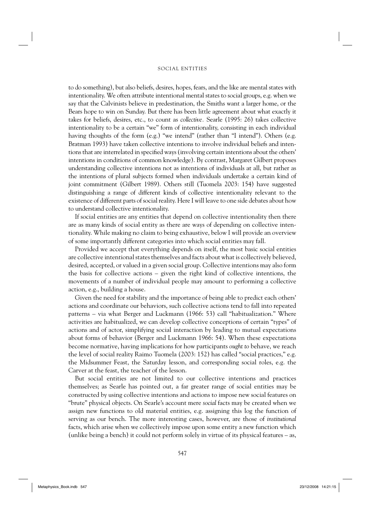to do something), but also beliefs, desires, hopes, fears, and the like are mental states with intentionality. We often attribute intentional mental states to social groups, e.g. when we say that the Calvinists believe in predestination, the Smiths want a larger home, or the Bears hope to win on Sunday. But there has been little agreement about what exactly it takes for beliefs, desires, etc., to count as *collective.* Searle (1995: 26) takes collective intentionality to be a certain "we" form of intentionality, consisting in each individual having thoughts of the form (e.g.) "we intend" (rather than "I intend"). Others (e.g. Bratman 1993) have taken collective intentions to involve individual beliefs and intentions that are interrelated in specified ways (involving certain intentions about the others' intentions in conditions of common knowledge). By contrast, Margaret Gilbert proposes understanding collective intentions not as intentions of individuals at all, but rather as the intentions of plural subjects formed when individuals undertake a certain kind of joint commitment (Gilbert 1989). Others still (Tuomela 2003: 154) have suggested distinguishing a range of different kinds of collective intentionality relevant to the existence of different parts of social reality. Here I will leave to one side debates about how to understand collective intentionality.

If social entities are any entities that depend on collective intentionality then there are as many kinds of social entity as there are ways of depending on collective intentionality. While making no claim to being exhaustive, below I will provide an overview of some importantly different categories into which social entities may fall.

Provided we accept that everything depends on itself, the most basic social entities are collective intentional states themselves and facts about what is collectively believed, desired, accepted, or valued in a given social group. Collective intentions may also form the basis for collective actions – given the right kind of collective intentions, the movements of a number of individual people may amount to performing a collective action, e.g., building a house.

Given the need for stability and the importance of being able to predict each others' actions and coordinate our behaviors, such collective actions tend to fall into repeated patterns – via what Berger and Luckmann (1966: 53) call "habitualization." Where activities are habitualized, we can develop collective conceptions of certain "types" of actions and of actor, simplifying social interaction by leading to mutual expectations about forms of behavior (Berger and Luckmann 1966: 54). When these expectations become normative, having implications for how participants *ought to* behave, we reach the level of social reality Raimo Tuomela (2003: 152) has called "social practices," e.g. the Midsummer Feast, the Saturday lesson, and corresponding social roles, e.g. the Carver at the feast, the teacher of the lesson.

But social entities are not limited to our collective intentions and practices themselves; as Searle has pointed out, a far greater range of social entities may be constructed by using collective intentions and actions to impose new social features on "brute" physical objects. On Searle's account mere *social* facts may be created when we assign new functions to old material entities, e.g. assigning this log the function of serving as our bench. The more interesting cases, however, are those of *institutional* facts, which arise when we collectively impose upon some entity a new function which (unlike being a bench) it could not perform solely in virtue of its physical features – as,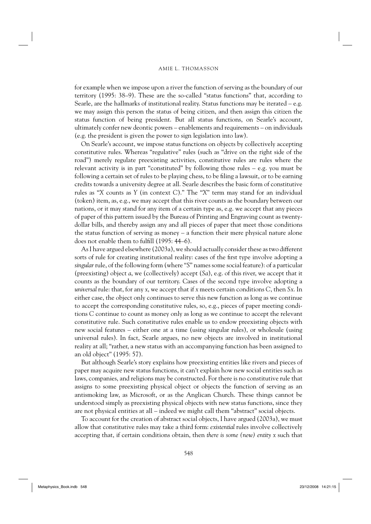for example when we impose upon a river the function of serving as the boundary of our territory (1995: 38–9). These are the so-called "status functions" that, according to Searle, are the hallmarks of institutional reality. Status functions may be iterated – e.g. we may assign this person the status of being citizen, and then assign this citizen the status function of being president. But all status functions, on Searle's account, ultimately confer new deontic powers – enablements and requirements – on individuals (e.g. the president is given the power to sign legislation into law).

On Searle's account, we impose status functions on objects by collectively accepting constitutive rules. Whereas "regulative" rules (such as "drive on the right side of the road") merely regulate preexisting activities, constitutive rules are rules where the relevant activity is in part "constituted" by following those rules – e.g. you must be following a certain set of rules to be playing chess, to be filing a lawsuit, or to be earning credits towards a university degree at all. Searle describes the basic form of constitutive rules as "*X* counts as *Y* (in context *C*)." The "*X*" term may stand for an individual (token) item, as, e.g., we may accept that this river counts as the boundary between our nations, or it may stand for any item of a certain type as, e.g. we accept that any pieces of paper of this pattern issued by the Bureau of Printing and Engraving count as twentydollar bills, and thereby assign any and all pieces of paper that meet those conditions the status function of serving as money – a function their mere physical nature alone does not enable them to fulfill (1995: 44–6).

As I have argued elsewhere (2003a), we should actually consider these as two different sorts of rule for creating institutional reality: cases of the first type involve adopting a *singular* rule, of the following form (where "*S*" names some social feature): of a particular (preexisting) object *a*, we (collectively) accept (*Sa*), e.g. of this river, we accept that it counts as the boundary of our territory. Cases of the second type involve adopting a *universal* rule: that, for any *x*, we accept that if *x* meets certain conditions *C*, then *Sx*. In either case, the object only continues to serve this new function as long as we continue to accept the corresponding constitutive rules, so, e.g., pieces of paper meeting conditions *C* continue to count as money only as long as we continue to accept the relevant constitutive rule. Such constitutive rules enable us to endow preexisting objects with new social features – either one at a time (using singular rules), or wholesale (using universal rules). In fact, Searle argues, no new objects are involved in institutional reality at all; "rather, a new status with an accompanying function has been assigned to an old object" (1995: 57).

But although Searle's story explains how preexisting entities like rivers and pieces of paper may acquire new status functions, it can't explain how new social entities such as laws, companies, and religions may be constructed. For there is no constitutive rule that assigns to some preexisting physical object or objects the function of serving as an antismoking law, as Microsoft, or as the Anglican Church. These things cannot be understood simply as preexisting physical objects with new status functions, since they are not physical entities at all – indeed we might call them "abstract" social objects.

To account for the creation of abstract social objects, I have argued (2003a), we must allow that constitutive rules may take a third form: *existential* rules involve collectively accepting that, if certain conditions obtain, then *there is some (new) entity x* such that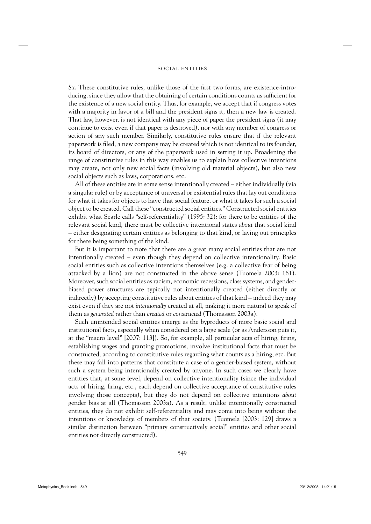*Sx*. These constitutive rules, unlike those of the first two forms, are existence-introducing, since they allow that the obtaining of certain conditions counts as sufficient for the existence of a new social entity. Thus, for example, we accept that if congress votes with a majority in favor of a bill and the president signs it, then a new law is created. That law, however, is not identical with any piece of paper the president signs (it may continue to exist even if that paper is destroyed), nor with any member of congress or action of any such member. Similarly, constitutive rules ensure that if the relevant paperwork is filed, a new company may be created which is not identical to its founder, its board of directors, or any of the paperwork used in setting it up. Broadening the range of constitutive rules in this way enables us to explain how collective intentions may create, not only new social facts (involving old material objects), but also new social objects such as laws, corporations, etc.

All of these entities are in some sense intentionally created – either individually (via a singular rule) or by acceptance of universal or existential rules that lay out conditions for what it takes for objects to have that social feature, or what it takes for such a social object to be created. Call these "constructed social entities." Constructed social entities exhibit what Searle calls "self-referentiality" (1995: 32): for there to be entities of the relevant social kind, there must be collective intentional states *about* that social kind – either designating certain entities as belonging to that kind, or laying out principles for there being something of the kind.

But it is important to note that there are a great many social entities that are not intentionally created – even though they depend on collective intentionality. Basic social entities such as collective intentions themselves (e.g. a collective fear of being attacked by a lion) are not constructed in the above sense (Tuomela 2003: 161). Moreover, such social entities as racism, economic recessions, class systems, and genderbiased power structures are typically not intentionally created (either directly or indirectly) by accepting constitutive rules about entities of that kind – indeed they may exist even if they are not *intentionally* created at all, making it more natural to speak of them as *generated* rather than *created* or *constructed* (Thomasson 2003a).

Such unintended social entities emerge as the byproducts of more basic social and institutional facts, especially when considered on a large scale (or as Andersson puts it, at the "macro level" [2007: 113]). So, for example, all particular acts of hiring, firing, establishing wages and granting promotions, involve institutional facts that must be constructed, according to constitutive rules regarding what counts as a hiring, etc. But these may fall into patterns that constitute a case of a gender-biased system, without such a system being intentionally created by anyone. In such cases we clearly have entities that, at some level, depend on collective intentionality (since the individual acts of hiring, firing, etc., each depend on collective acceptance of constitutive rules involving those concepts), but they do not depend on collective intentions *about*  gender bias at all (Thomasson 2003a). As a result, unlike intentionally constructed entities, they do not exhibit self-referentiality and may come into being without the intentions or knowledge of members of that society. (Tuomela [2003: 129] draws a similar distinction between "primary constructively social" entities and other social entities not directly constructed).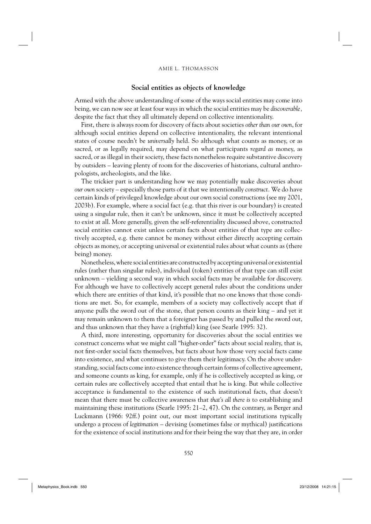### **Social entities as objects of knowledge**

Armed with the above understanding of some of the ways social entities may come into being, we can now see at least four ways in which the social entities may be *discoverable,*  despite the fact that they all ultimately depend on collective intentionality.

First, there is always room for discovery of facts about societies *other than our own*, for although social entities depend on collective intentionality, the relevant intentional states of course needn't be *universally* held. So although what counts as money, or as sacred, or as legally required, may depend on what participants *regard as* money, as sacred, or as illegal in their society, these facts nonetheless require substantive discovery by outsiders – leaving plenty of room for the discoveries of historians, cultural anthropologists, archeologists, and the like.

The trickier part is understanding how we may potentially make discoveries about *our own* society – especially those parts of it that we intentionally *construct.* We do have certain kinds of privileged knowledge about our own social constructions (see my 2001, 2003b). For example, where a social fact (e.g. that this river is our boundary) is created using a singular rule, then it can't be unknown, since it must be collectively accepted to exist at all. More generally, given the self-referentiality discussed above, constructed social entities cannot exist unless certain facts about entities of that type are collectively accepted, e.g. there cannot be money without either directly accepting certain objects as money, or accepting universal or existential rules about what counts as (there being) money.

Nonetheless, where social entities are constructed by accepting universal or existential rules (rather than singular rules), individual (token) entities of that type can still exist unknown – yielding a second way in which social facts may be available for discovery. For although we have to collectively accept general rules about the conditions under which there are entities of that kind, it's possible that no one knows that those conditions are met. So, for example, members of a society may collectively accept that if anyone pulls the sword out of the stone, that person counts as their king – and yet it may remain unknown to them that a foreigner has passed by and pulled the sword out, and thus unknown that they have a (rightful) king (see Searle 1995: 32).

A third, more interesting, opportunity for discoveries about the social entities we construct concerns what we might call "higher-order" facts about social reality, that is, not first-order social facts themselves, but facts about how those very social facts came into existence, and what continues to give them their legitimacy. On the above understanding, social facts come into existence through certain forms of collective agreement, and someone counts as king, for example, only if he is collectively accepted as king, or certain rules are collectively accepted that entail that he is king. But while collective acceptance is fundamental to the existence of such institutional facts, that doesn't mean that there must be collective awareness that *that's all there is* to establishing and maintaining these institutions (Searle 1995: 21–2, 47). On the contrary, as Berger and Luckmann (1966: 92ff.) point out, our most important social institutions typically undergo a process of *legitimation* – devising (sometimes false or mythical) justifications for the existence of social institutions and for their being the way that they are, in order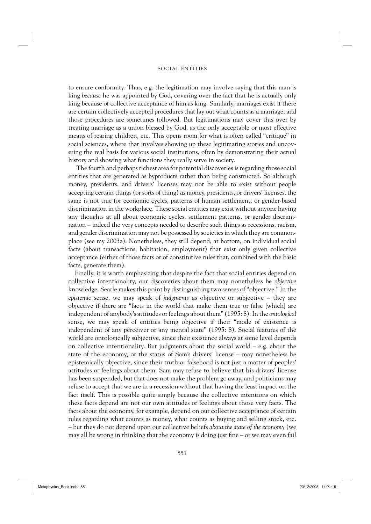to ensure conformity. Thus, e.g. the legitimation may involve saying that this man is king *because* he was appointed by God, covering over the fact that he is actually only king because of collective acceptance of him as king. Similarly, marriages exist if there are certain collectively accepted procedures that lay out what counts as a marriage, and those procedures are sometimes followed. But legitimations may cover this over by treating marriage as a union blessed by God, as the only acceptable or most effective means of rearing children, etc. This opens room for what is often called "critique" in social sciences, where that involves showing up these legitimating stories and uncovering the real basis for various social institutions, often by demonstrating their actual history and showing what functions they really serve in society.

 The fourth and perhaps richest area for potential discoveries is regarding those social entities that are generated as byproducts rather than being constructed. So although money, presidents, and drivers' licenses may not be able to exist without people accepting certain things (or sorts of thing) *as* money, presidents, or drivers' licenses, the same is not true for economic cycles, patterns of human settlement, or gender-based discrimination in the workplace. These social entities may exist without anyone having any thoughts at all about economic cycles, settlement patterns, or gender discrimination – indeed the very concepts needed to describe such things as recessions, racism, and gender discrimination may not be possessed by societies in which they are commonplace (see my 2003a). Nonetheless, they still depend, at bottom, on individual social facts (about transactions, habitation, employment) that exist only given collective acceptance (either of those facts or of constitutive rules that, combined with the basic facts, generate them).

Finally, it is worth emphasizing that despite the fact that social entities depend on collective intentionality, our discoveries about them may nonetheless be *objective*  knowledge. Searle makes this point by distinguishing two senses of "objective." In the *epistemic* sense, we may speak of *judgments* as objective or subjective – they are objective if there are "facts in the world that make them true or false [which] are independent of anybody's attitudes or feelings about them" (1995: 8). In the *ontological*  sense, we may speak of entities being objective if their "mode of existence is independent of any perceiver or any mental state" (1995: 8). Social features of the world are ontologically subjective, since their existence always at some level depends on collective intentionality. But judgments about the social world – e.g. about the state of the economy, or the status of Sam's drivers' license – may nonetheless be epistemically objective, since their truth or falsehood is not just a matter of peoples' attitudes or feelings about them. Sam may refuse to believe that his drivers' license has been suspended, but that does not make the problem go away, and politicians may refuse to accept that we are in a recession without that having the least impact on the fact itself. This is possible quite simply because the collective intentions on which these facts depend are not our own attitudes or feelings about those very facts. The facts about the economy, for example, depend on our collective acceptance of certain rules regarding what counts as money, what counts as buying and selling stock, etc. – but they do not depend upon our collective beliefs *about the state of the economy* (we may all be wrong in thinking that the economy is doing just fine – or we may even fail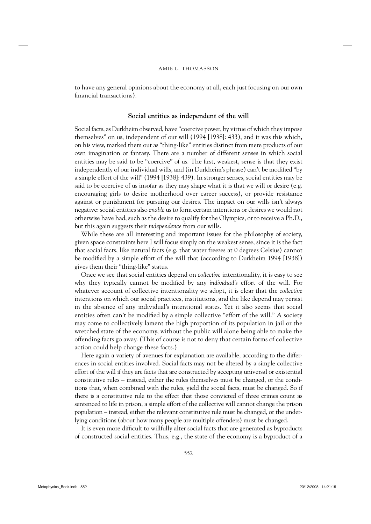to have any general opinions about the economy at all, each just focusing on our own financial transactions).

# **Social entities as independent of the will**

Social facts, as Durkheim observed, have "coercive power, by virtue of which they impose themselves" on us, independent of our will (1994 [1938]: 433), and it was this which, on his view, marked them out as "thing-like" entities distinct from mere products of our own imagination or fantasy. There are a number of different senses in which social entities may be said to be "coercive" of us. The first, weakest, sense is that they exist independently of our individual wills, and (in Durkheim's phrase) can't be modified "by a simple effort of the will" (1994 [1938]: 439). In stronger senses, social entities may be said to be coercive of us insofar as they may shape what it is that we will or desire (e.g. encouraging girls to desire motherhood over career success), or provide resistance against or punishment for pursuing our desires. The impact on our wills isn't always negative: social entities also *enable* us to form certain intentions or desires we would not otherwise have had, such as the desire to qualify for the Olympics, or to receive a Ph.D., but this again suggests their *independence* from our wills.

While these are all interesting and important issues for the philosophy of society, given space constraints here I will focus simply on the weakest sense, since it is the fact that social facts, like natural facts (e.g. that water freezes at 0 degrees Celsius) cannot be modified by a simple effort of the will that (according to Durkheim 1994 [1938]) gives them their "thing-like" status.

Once we see that social entities depend on *collective* intentionality, it is easy to see why they typically cannot be modified by any *individual's* effort of the will. For whatever account of collective intentionality we adopt, it is clear that the *collective*  intentions on which our social practices, institutions, and the like depend may persist in the absence of any individual's intentional states. Yet it also seems that social entities often can't be modified by a simple collective "effort of the will." A society may come to collectively lament the high proportion of its population in jail or the wretched state of the economy, without the public will alone being able to make the offending facts go away. (This of course is not to deny that certain forms of collective action could help change these facts.)

Here again a variety of avenues for explanation are available, according to the differences in social entities involved. Social facts may not be altered by a simple collective effort of the will if they are facts that are constructed by accepting universal or existential constitutive rules – instead, either the rules themselves must be changed, or the conditions that, when combined with the rules, yield the social facts, must be changed. So if there is a constitutive rule to the effect that those convicted of three crimes count as sentenced to life in prison, a simple effort of the collective will cannot change the prison population – instead, either the relevant constitutive rule must be changed, or the underlying conditions (about how many people are multiple offenders) must be changed.

It is even more difficult to willfully alter social facts that are generated as byproducts of constructed social entities. Thus, e.g., the state of the economy is a byproduct of a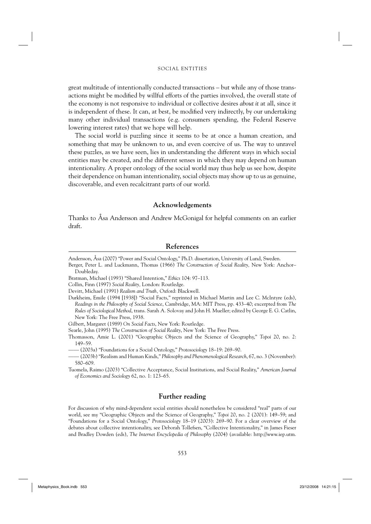great multitude of intentionally conducted transactions – but while any of those transactions might be modified by willful efforts of the parties involved, the overall state of the economy is not responsive to individual or collective desires *about it* at all, since it is independent of these. It can, at best, be modified very indirectly, by our undertaking many other individual transactions (e.g. consumers spending, the Federal Reserve lowering interest rates) that we hope will help.

The social world is puzzling since it seems to be at once a human creation, and something that may be unknown to us, and even coercive of us. The way to unravel these puzzles, as we have seen, lies in understanding the different ways in which social entities may be created, and the different senses in which they may depend on human intentionality. A proper ontology of the social world may thus help us see how, despite their dependence on human intentionality, social objects may show up to us as genuine, discoverable, and even recalcitrant parts of our world.

# **Acknowledgements**

Thanks to Åsa Andersson and Andrew McGonigal for helpful comments on an earlier draft.

# **References**

Durkheim, Emile (1994 [1938]) "Social Facts," reprinted in Michael Martin and Lee C. McIntyre (eds), *Readings in the Philosophy of Social Science*, Cambridge, MA: MIT Press, pp. 433–40; excerpted from *The Rules of Sociological Method*, trans. Sarah A. Solovay and John H. Mueller; edited by George E. G. Catlin, New York: The Free Press, 1938.

Gilbert, Margaret (1989) *On Social Facts*, New York: Routledge.

Thomasson, Amie L. (2001) "Geographic Objects and the Science of Geography," *Topoi* 20, no. 2: 149–59.

—— (2003a) "Foundations for a Social Ontology," *Protosociology* 18–19: 269–90.

- —— (2003b) "Realism and Human Kinds," *Philosophy and Phenomenological Research*, 67, no. 3 (November): 580–609.
- Tuomela, Raimo (2003) "Collective Acceptance, Social Institutions, and Social Reality," *American Journal of Economics and Sociology* 62, no. 1: 123–65.

# **Further reading**

For discussion of why mind-dependent social entities should nonetheless be considered "real" parts of our world, see my "Geographic Objects and the Science of Geography," *Topoi* 20, no. 2 (2001): 149–59; and "Foundations for a Social Ontology," *Protosociology* 18–19 (2003): 269–90. For a clear overview of the debates about collective intentionality, see Deborah Tollefsen, "Collective Intentionality," in James Fieser and Bradley Dowden (eds), *The Internet Encyclopedia of Philosophy* (2004) (available: http://www.iep.utm.

Andersson, Åsa (2007) "Power and Social Ontology," Ph.D. dissertation, University of Lund, Sweden.

Berger, Peter L. and Luckmann, Thomas (1966) *The Construction of Social Reality,* New York: Anchor– Doubleday.

Bratman, Michael (1993) "Shared Intention," *Ethics* 104: 97–113.

Collin, Finn (1997) *Social Reality,* London: Routledge.

Devitt, Michael (1991) *Realism and Truth,* Oxford: Blackwell.

Searle, John (1995) *The Construction of Social Reality*, New York: The Free Press.